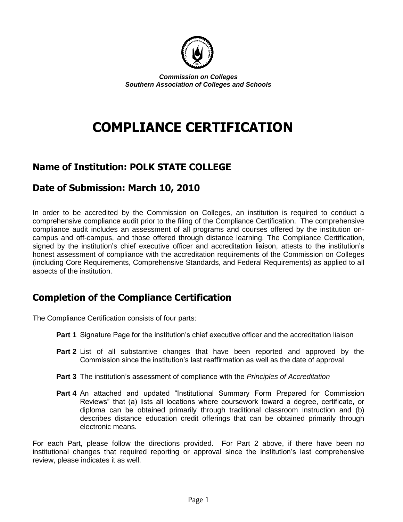

*Commission on Colleges Southern Association of Colleges and Schools*

# **COMPLIANCE CERTIFICATION**

#### **Name of Institution: POLK STATE COLLEGE**

#### **Date of Submission: March 10, 2010**

In order to be accredited by the Commission on Colleges, an institution is required to conduct a comprehensive compliance audit prior to the filing of the Compliance Certification. The comprehensive compliance audit includes an assessment of all programs and courses offered by the institution oncampus and off-campus, and those offered through distance learning. The Compliance Certification, signed by the institution's chief executive officer and accreditation liaison, attests to the institution's honest assessment of compliance with the accreditation requirements of the Commission on Colleges (including Core Requirements, Comprehensive Standards, and Federal Requirements) as applied to all aspects of the institution.

#### **Completion of the Compliance Certification**

The Compliance Certification consists of four parts:

- **Part 1** Signature Page for the institution's chief executive officer and the accreditation liaison
- **Part 2** List of all substantive changes that have been reported and approved by the Commission since the institution's last reaffirmation as well as the date of approval
- **Part 3** The institution's assessment of compliance with the *Principles of Accreditation*
- **Part 4** An attached and updated "Institutional Summary Form Prepared for Commission Reviews" that (a) lists all locations where coursework toward a degree, certificate, or diploma can be obtained primarily through traditional classroom instruction and (b) describes distance education credit offerings that can be obtained primarily through electronic means.

For each Part, please follow the directions provided. For Part 2 above, if there have been no institutional changes that required reporting or approval since the institution's last comprehensive review, please indicates it as well.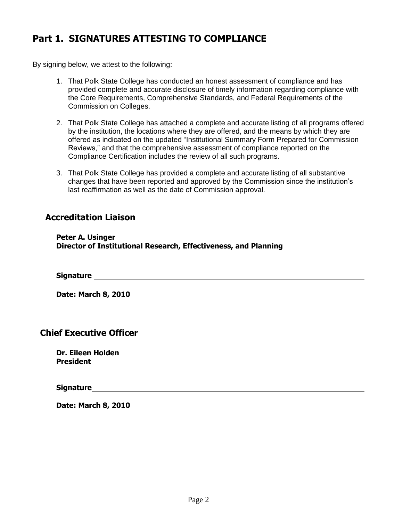#### **Part 1. SIGNATURES ATTESTING TO COMPLIANCE**

By signing below, we attest to the following:

- 1. That Polk State College has conducted an honest assessment of compliance and has provided complete and accurate disclosure of timely information regarding compliance with the Core Requirements, Comprehensive Standards, and Federal Requirements of the Commission on Colleges.
- 2. That Polk State College has attached a complete and accurate listing of all programs offered by the institution, the locations where they are offered, and the means by which they are offered as indicated on the updated "Institutional Summary Form Prepared for Commission Reviews," and that the comprehensive assessment of compliance reported on the Compliance Certification includes the review of all such programs.
- 3. That Polk State College has provided a complete and accurate listing of all substantive changes that have been reported and approved by the Commission since the institution's last reaffirmation as well as the date of Commission approval.

#### **Accreditation Liaison**

**Peter A. Usinger Director of Institutional Research, Effectiveness, and Planning**

**Signature** 

**Date: March 8, 2010**

#### **Chief Executive Officer**

**Dr. Eileen Holden President**

**Signature** 

**Date: March 8, 2010**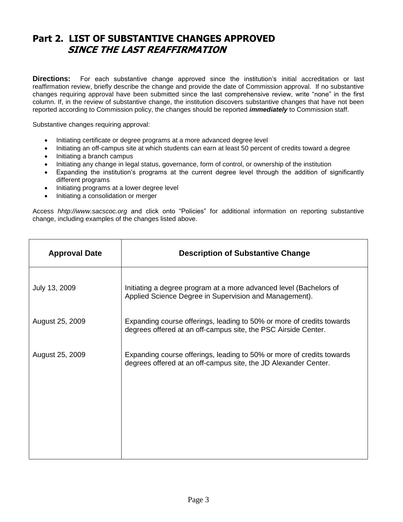#### **Part 2. LIST OF SUBSTANTIVE CHANGES APPROVED SINCE THE LAST REAFFIRMATION**

**Directions:** For each substantive change approved since the institution's initial accreditation or last reaffirmation review, briefly describe the change and provide the date of Commission approval. If no substantive changes requiring approval have been submitted since the last comprehensive review, write "none" in the first column. If, in the review of substantive change, the institution discovers substantive changes that have not been reported according to Commission policy, the changes should be reported *immediately* to Commission staff.

Substantive changes requiring approval:

- Initiating certificate or degree programs at a more advanced degree level
- Initiating an off-campus site at which students can earn at least 50 percent of credits toward a degree
- Initiating a branch campus
- Initiating any change in legal status, governance, form of control, or ownership of the institution
- Expanding the institution's programs at the current degree level through the addition of significantly different programs
- Initiating programs at a lower degree level
- Initiating a consolidation or merger

Access *hhtp://www.sacscoc.org* and click onto "Policies" for additional information on reporting substantive change, including examples of the changes listed above.

| <b>Description of Substantive Change</b>                                                                                                 |
|------------------------------------------------------------------------------------------------------------------------------------------|
| Initiating a degree program at a more advanced level (Bachelors of<br>Applied Science Degree in Supervision and Management).             |
| Expanding course offerings, leading to 50% or more of credits towards<br>degrees offered at an off-campus site, the PSC Airside Center.  |
| Expanding course offerings, leading to 50% or more of credits towards<br>degrees offered at an off-campus site, the JD Alexander Center. |
|                                                                                                                                          |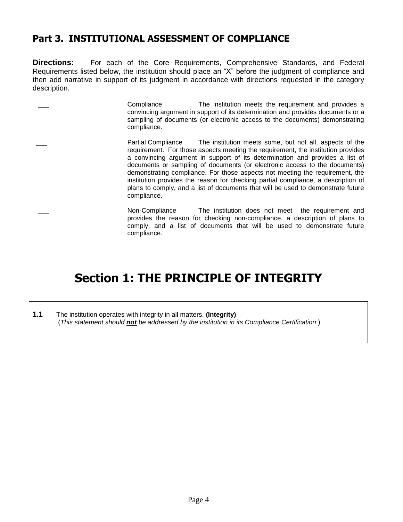#### **Part 3. INSTITUTIONAL ASSESSMENT OF COMPLIANCE**

**Directions:** For each of the Core Requirements, Comprehensive Standards, and Federal Requirements listed below, the institution should place an "X" before the judgment of compliance and then add narrative in support of its judgment in accordance with directions requested in the category description.

| Compliance<br>The institution meets the requirement and provides a<br>convincing argument in support of its determination and provides documents or a<br>sampling of documents (or electronic access to the documents) demonstrating<br>compliance.                                                                                                                                                                                                                                                                                                                                                     |
|---------------------------------------------------------------------------------------------------------------------------------------------------------------------------------------------------------------------------------------------------------------------------------------------------------------------------------------------------------------------------------------------------------------------------------------------------------------------------------------------------------------------------------------------------------------------------------------------------------|
| The institution meets some, but not all, aspects of the<br>Partial Compliance<br>requirement. For those aspects meeting the requirement, the institution provides<br>a convincing argument in support of its determination and provides a list of<br>documents or sampling of documents (or electronic access to the documents)<br>demonstrating compliance. For those aspects not meeting the requirement, the<br>institution provides the reason for checking partial compliance, a description of<br>plans to comply, and a list of documents that will be used to demonstrate future<br>compliance. |
| Non-Compliance<br>The institution does not meet the requirement and<br>provides the reason for checking non-compliance, a description of plans to<br>comply, and a list of documents that will be used to demonstrate future                                                                                                                                                                                                                                                                                                                                                                            |

# **Section 1: THE PRINCIPLE OF INTEGRITY**

**1.1** The institution operates with integrity in all matters. **(Integrity)** (*This statement should not be addressed by the institution in its Compliance Certification*.)

compliance.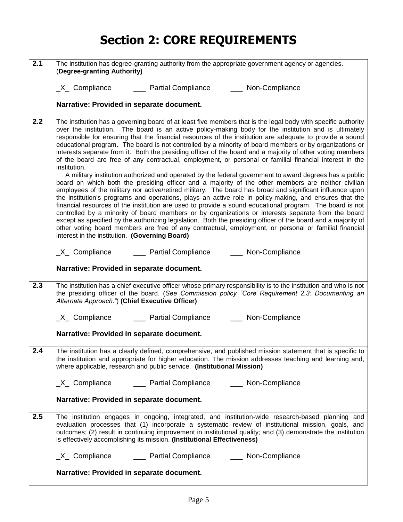# **Section 2: CORE REQUIREMENTS**

| 2.1 | The institution has degree-granting authority from the appropriate government agency or agencies.<br>(Degree-granting Authority)                                                                                                                                                                                                                                                                                                                                                                                                                                                                                                                                                                                                                                                                                                                                                                                                                                                                                                                                                                                                                                                                                                                                                                                                                                                                                                                                                                                                                                                                                           |
|-----|----------------------------------------------------------------------------------------------------------------------------------------------------------------------------------------------------------------------------------------------------------------------------------------------------------------------------------------------------------------------------------------------------------------------------------------------------------------------------------------------------------------------------------------------------------------------------------------------------------------------------------------------------------------------------------------------------------------------------------------------------------------------------------------------------------------------------------------------------------------------------------------------------------------------------------------------------------------------------------------------------------------------------------------------------------------------------------------------------------------------------------------------------------------------------------------------------------------------------------------------------------------------------------------------------------------------------------------------------------------------------------------------------------------------------------------------------------------------------------------------------------------------------------------------------------------------------------------------------------------------------|
|     | _X_ Compliance _______ Partial Compliance ______ Non-Compliance                                                                                                                                                                                                                                                                                                                                                                                                                                                                                                                                                                                                                                                                                                                                                                                                                                                                                                                                                                                                                                                                                                                                                                                                                                                                                                                                                                                                                                                                                                                                                            |
|     | Narrative: Provided in separate document.                                                                                                                                                                                                                                                                                                                                                                                                                                                                                                                                                                                                                                                                                                                                                                                                                                                                                                                                                                                                                                                                                                                                                                                                                                                                                                                                                                                                                                                                                                                                                                                  |
| 2.2 | The institution has a governing board of at least five members that is the legal body with specific authority<br>over the institution. The board is an active policy-making body for the institution and is ultimately<br>responsible for ensuring that the financial resources of the institution are adequate to provide a sound<br>educational program. The board is not controlled by a minority of board members or by organizations or<br>interests separate from it. Both the presiding officer of the board and a majority of other voting members<br>of the board are free of any contractual, employment, or personal or familial financial interest in the<br>institution.<br>A military institution authorized and operated by the federal government to award degrees has a public<br>board on which both the presiding officer and a majority of the other members are neither civilian<br>employees of the military nor active/retired military. The board has broad and significant influence upon<br>the institution's programs and operations, plays an active role in policy-making, and ensures that the<br>financial resources of the institution are used to provide a sound educational program. The board is not<br>controlled by a minority of board members or by organizations or interests separate from the board<br>except as specified by the authorizing legislation. Both the presiding officer of the board and a majority of<br>other voting board members are free of any contractual, employment, or personal or familial financial<br>interest in the institution. (Governing Board) |
|     | _X_ Compliance _______ Partial Compliance _______ Non-Compliance                                                                                                                                                                                                                                                                                                                                                                                                                                                                                                                                                                                                                                                                                                                                                                                                                                                                                                                                                                                                                                                                                                                                                                                                                                                                                                                                                                                                                                                                                                                                                           |
|     | Narrative: Provided in separate document.                                                                                                                                                                                                                                                                                                                                                                                                                                                                                                                                                                                                                                                                                                                                                                                                                                                                                                                                                                                                                                                                                                                                                                                                                                                                                                                                                                                                                                                                                                                                                                                  |
| 2.3 | The institution has a chief executive officer whose primary responsibility is to the institution and who is not<br>the presiding officer of the board. (See Commission policy "Core Requirement 2.3: Documenting an<br>Alternate Approach.") (Chief Executive Officer)                                                                                                                                                                                                                                                                                                                                                                                                                                                                                                                                                                                                                                                                                                                                                                                                                                                                                                                                                                                                                                                                                                                                                                                                                                                                                                                                                     |
|     | _X_ Compliance _______ Partial Compliance _______ Non-Compliance                                                                                                                                                                                                                                                                                                                                                                                                                                                                                                                                                                                                                                                                                                                                                                                                                                                                                                                                                                                                                                                                                                                                                                                                                                                                                                                                                                                                                                                                                                                                                           |
|     | Narrative: Provided in separate document.                                                                                                                                                                                                                                                                                                                                                                                                                                                                                                                                                                                                                                                                                                                                                                                                                                                                                                                                                                                                                                                                                                                                                                                                                                                                                                                                                                                                                                                                                                                                                                                  |
| 2.4 | The institution has a clearly defined, comprehensive, and published mission statement that is specific to<br>the institution and appropriate for higher education. The mission addresses teaching and learning and,<br>where applicable, research and public service. (Institutional Mission)                                                                                                                                                                                                                                                                                                                                                                                                                                                                                                                                                                                                                                                                                                                                                                                                                                                                                                                                                                                                                                                                                                                                                                                                                                                                                                                              |
|     |                                                                                                                                                                                                                                                                                                                                                                                                                                                                                                                                                                                                                                                                                                                                                                                                                                                                                                                                                                                                                                                                                                                                                                                                                                                                                                                                                                                                                                                                                                                                                                                                                            |
|     | Narrative: Provided in separate document.                                                                                                                                                                                                                                                                                                                                                                                                                                                                                                                                                                                                                                                                                                                                                                                                                                                                                                                                                                                                                                                                                                                                                                                                                                                                                                                                                                                                                                                                                                                                                                                  |
| 2.5 | The institution engages in ongoing, integrated, and institution-wide research-based planning and<br>evaluation processes that (1) incorporate a systematic review of institutional mission, goals, and<br>outcomes; (2) result in continuing improvement in institutional quality; and (3) demonstrate the institution<br>is effectively accomplishing its mission. (Institutional Effectiveness)                                                                                                                                                                                                                                                                                                                                                                                                                                                                                                                                                                                                                                                                                                                                                                                                                                                                                                                                                                                                                                                                                                                                                                                                                          |
|     | _X_ Compliance _______ Partial Compliance _______ Non-Compliance                                                                                                                                                                                                                                                                                                                                                                                                                                                                                                                                                                                                                                                                                                                                                                                                                                                                                                                                                                                                                                                                                                                                                                                                                                                                                                                                                                                                                                                                                                                                                           |
|     | Narrative: Provided in separate document.                                                                                                                                                                                                                                                                                                                                                                                                                                                                                                                                                                                                                                                                                                                                                                                                                                                                                                                                                                                                                                                                                                                                                                                                                                                                                                                                                                                                                                                                                                                                                                                  |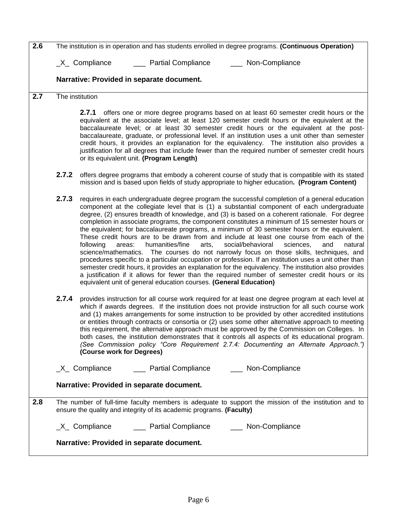| 2.6 |       | The institution is in operation and has students enrolled in degree programs. (Continuous Operation)                                                                                                                                                                                                                                                                                                                                                                                                                                                                                                                                                                                                                                                                                                                                                                                                                                                                                                                                                                                                                                                                                      |
|-----|-------|-------------------------------------------------------------------------------------------------------------------------------------------------------------------------------------------------------------------------------------------------------------------------------------------------------------------------------------------------------------------------------------------------------------------------------------------------------------------------------------------------------------------------------------------------------------------------------------------------------------------------------------------------------------------------------------------------------------------------------------------------------------------------------------------------------------------------------------------------------------------------------------------------------------------------------------------------------------------------------------------------------------------------------------------------------------------------------------------------------------------------------------------------------------------------------------------|
|     |       | $X_$ Compliance<br>___ Partial Compliance<br>___ Non-Compliance                                                                                                                                                                                                                                                                                                                                                                                                                                                                                                                                                                                                                                                                                                                                                                                                                                                                                                                                                                                                                                                                                                                           |
|     |       | Narrative: Provided in separate document.                                                                                                                                                                                                                                                                                                                                                                                                                                                                                                                                                                                                                                                                                                                                                                                                                                                                                                                                                                                                                                                                                                                                                 |
| 2.7 |       | The institution                                                                                                                                                                                                                                                                                                                                                                                                                                                                                                                                                                                                                                                                                                                                                                                                                                                                                                                                                                                                                                                                                                                                                                           |
|     |       | 2.7.1 offers one or more degree programs based on at least 60 semester credit hours or the<br>equivalent at the associate level; at least 120 semester credit hours or the equivalent at the<br>baccalaureate level; or at least 30 semester credit hours or the equivalent at the post-<br>baccalaureate, graduate, or professional level. If an institution uses a unit other than semester<br>credit hours, it provides an explanation for the equivalency. The institution also provides a<br>justification for all degrees that include fewer than the required number of semester credit hours<br>or its equivalent unit. (Program Length)                                                                                                                                                                                                                                                                                                                                                                                                                                                                                                                                          |
|     | 2.7.2 | offers degree programs that embody a coherent course of study that is compatible with its stated<br>mission and is based upon fields of study appropriate to higher education. (Program Content)                                                                                                                                                                                                                                                                                                                                                                                                                                                                                                                                                                                                                                                                                                                                                                                                                                                                                                                                                                                          |
|     | 2.7.3 | requires in each undergraduate degree program the successful completion of a general education<br>component at the collegiate level that is (1) a substantial component of each undergraduate<br>degree, (2) ensures breadth of knowledge, and (3) is based on a coherent rationale. For degree<br>completion in associate programs, the component constitutes a minimum of 15 semester hours or<br>the equivalent; for baccalaureate programs, a minimum of 30 semester hours or the equivalent.<br>These credit hours are to be drawn from and include at least one course from each of the<br>humanities/fine<br>social/behavioral<br>sciences,<br>following<br>areas:<br>arts,<br>and<br>natural<br>science/mathematics. The courses do not narrowly focus on those skills, techniques, and<br>procedures specific to a particular occupation or profession. If an institution uses a unit other than<br>semester credit hours, it provides an explanation for the equivalency. The institution also provides<br>a justification if it allows for fewer than the required number of semester credit hours or its<br>equivalent unit of general education courses. (General Education) |
|     | 2.7.4 | provides instruction for all course work required for at least one degree program at each level at<br>which if awards degrees. If the institution does not provide instruction for all such course work<br>and (1) makes arrangements for some instruction to be provided by other accredited institutions<br>or entities through contracts or consortia or (2) uses some other alternative approach to meeting<br>this requirement, the alternative approach must be approved by the Commission on Colleges. In<br>both cases, the institution demonstrates that it controls all aspects of its educational program.<br>(See Commission policy "Core Requirement 2.7.4: Documenting an Alternate Approach.")<br>(Course work for Degrees)                                                                                                                                                                                                                                                                                                                                                                                                                                                |
|     |       |                                                                                                                                                                                                                                                                                                                                                                                                                                                                                                                                                                                                                                                                                                                                                                                                                                                                                                                                                                                                                                                                                                                                                                                           |
|     |       | Narrative: Provided in separate document.                                                                                                                                                                                                                                                                                                                                                                                                                                                                                                                                                                                                                                                                                                                                                                                                                                                                                                                                                                                                                                                                                                                                                 |
| 2.8 |       | The number of full-time faculty members is adequate to support the mission of the institution and to<br>ensure the quality and integrity of its academic programs. (Faculty)                                                                                                                                                                                                                                                                                                                                                                                                                                                                                                                                                                                                                                                                                                                                                                                                                                                                                                                                                                                                              |
|     |       | _X_ Compliance _______ Partial Compliance _______ Non-Compliance                                                                                                                                                                                                                                                                                                                                                                                                                                                                                                                                                                                                                                                                                                                                                                                                                                                                                                                                                                                                                                                                                                                          |
|     |       | Narrative: Provided in separate document.                                                                                                                                                                                                                                                                                                                                                                                                                                                                                                                                                                                                                                                                                                                                                                                                                                                                                                                                                                                                                                                                                                                                                 |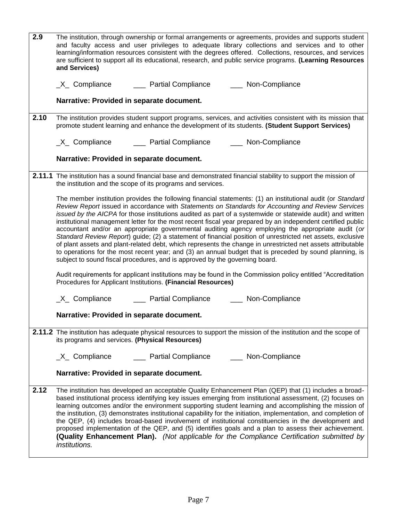| 2.9  | The institution, through ownership or formal arrangements or agreements, provides and supports student<br>and faculty access and user privileges to adequate library collections and services and to other<br>learning/information resources consistent with the degrees offered. Collections, resources, and services<br>are sufficient to support all its educational, research, and public service programs. (Learning Resources<br>and Services)                                                                                                                                                                                                                                                                                                                                                                                                                                                                                                                       |
|------|----------------------------------------------------------------------------------------------------------------------------------------------------------------------------------------------------------------------------------------------------------------------------------------------------------------------------------------------------------------------------------------------------------------------------------------------------------------------------------------------------------------------------------------------------------------------------------------------------------------------------------------------------------------------------------------------------------------------------------------------------------------------------------------------------------------------------------------------------------------------------------------------------------------------------------------------------------------------------|
|      | _X_ Compliance _______ Partial Compliance _______ Non-Compliance                                                                                                                                                                                                                                                                                                                                                                                                                                                                                                                                                                                                                                                                                                                                                                                                                                                                                                           |
|      | Narrative: Provided in separate document.                                                                                                                                                                                                                                                                                                                                                                                                                                                                                                                                                                                                                                                                                                                                                                                                                                                                                                                                  |
| 2.10 | The institution provides student support programs, services, and activities consistent with its mission that<br>promote student learning and enhance the development of its students. (Student Support Services)                                                                                                                                                                                                                                                                                                                                                                                                                                                                                                                                                                                                                                                                                                                                                           |
|      | _X_ Compliance _______ Partial Compliance _______ Non-Compliance                                                                                                                                                                                                                                                                                                                                                                                                                                                                                                                                                                                                                                                                                                                                                                                                                                                                                                           |
|      | Narrative: Provided in separate document.                                                                                                                                                                                                                                                                                                                                                                                                                                                                                                                                                                                                                                                                                                                                                                                                                                                                                                                                  |
|      | 2.11.1 The institution has a sound financial base and demonstrated financial stability to support the mission of<br>the institution and the scope of its programs and services.                                                                                                                                                                                                                                                                                                                                                                                                                                                                                                                                                                                                                                                                                                                                                                                            |
|      | The member institution provides the following financial statements: (1) an institutional audit (or Standard<br>Review Report issued in accordance with Statements on Standards for Accounting and Review Services<br>issued by the AICPA for those institutions audited as part of a systemwide or statewide audit) and written<br>institutional management letter for the most recent fiscal year prepared by an independent certified public<br>accountant and/or an appropriate governmental auditing agency employing the appropriate audit (or<br>Standard Review Report) guide; (2) a statement of financial position of unrestricted net assets, exclusive<br>of plant assets and plant-related debt, which represents the change in unrestricted net assets attributable<br>to operations for the most recent year; and (3) an annual budget that is preceded by sound planning, is<br>subject to sound fiscal procedures, and is approved by the governing board. |
|      | Audit requirements for applicant institutions may be found in the Commission policy entitled "Accreditation"<br>Procedures for Applicant Institutions. (Financial Resources)                                                                                                                                                                                                                                                                                                                                                                                                                                                                                                                                                                                                                                                                                                                                                                                               |
|      | _X_ Compliance _______ Partial Compliance _______ Non-Compliance                                                                                                                                                                                                                                                                                                                                                                                                                                                                                                                                                                                                                                                                                                                                                                                                                                                                                                           |
|      | Narrative: Provided in separate document.                                                                                                                                                                                                                                                                                                                                                                                                                                                                                                                                                                                                                                                                                                                                                                                                                                                                                                                                  |
|      | 2.11.2 The institution has adequate physical resources to support the mission of the institution and the scope of<br>its programs and services. (Physical Resources)                                                                                                                                                                                                                                                                                                                                                                                                                                                                                                                                                                                                                                                                                                                                                                                                       |
|      | $X_$ Compliance<br>___ Partial Compliance<br>___ Non-Compliance                                                                                                                                                                                                                                                                                                                                                                                                                                                                                                                                                                                                                                                                                                                                                                                                                                                                                                            |
|      | Narrative: Provided in separate document.                                                                                                                                                                                                                                                                                                                                                                                                                                                                                                                                                                                                                                                                                                                                                                                                                                                                                                                                  |
| 2.12 | The institution has developed an acceptable Quality Enhancement Plan (QEP) that (1) includes a broad-<br>based institutional process identifying key issues emerging from institutional assessment, (2) focuses on<br>learning outcomes and/or the environment supporting student learning and accomplishing the mission of<br>the institution, (3) demonstrates institutional capability for the initiation, implementation, and completion of<br>the QEP, (4) includes broad-based involvement of institutional constituencies in the development and<br>proposed implementation of the QEP, and (5) identifies goals and a plan to assess their achievement.<br><b>(Quality Enhancement Plan).</b> (Not applicable for the Compliance Certification submitted by<br>institutions.                                                                                                                                                                                       |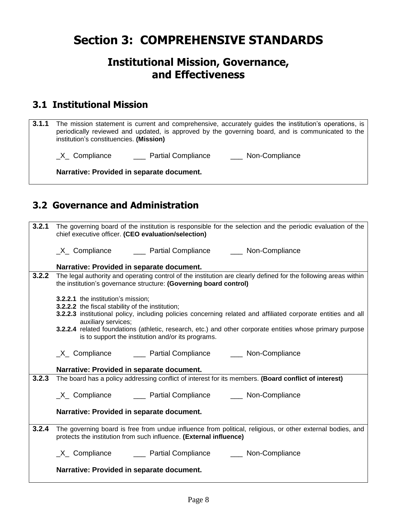# **Section 3: COMPREHENSIVE STANDARDS**

### **Institutional Mission, Governance, and Effectiveness**

#### **3.1 Institutional Mission**

**3.1.1** The mission statement is current and comprehensive, accurately guides the institution's operations, is periodically reviewed and updated, is approved by the governing board, and is communicated to the institution's constituencies. **(Mission)**

\_X\_ Compliance \_\_\_\_\_\_\_ Partial Compliance \_\_\_\_\_\_\_ Non-Compliance

**Narrative: Provided in separate document.**

### **3.2 Governance and Administration**

|       | 3.2.1 The governing board of the institution is responsible for the selection and the periodic evaluation of the<br>chief executive officer. (CEO evaluation/selection)              |
|-------|--------------------------------------------------------------------------------------------------------------------------------------------------------------------------------------|
|       |                                                                                                                                                                                      |
|       | Narrative: Provided in separate document.                                                                                                                                            |
| 3.2.2 | The legal authority and operating control of the institution are clearly defined for the following areas within<br>the institution's governance structure: (Governing board control) |
|       | 3.2.2.1 the institution's mission;<br>3.2.2.2 the fiscal stability of the institution;                                                                                               |
|       | 3.2.2.3 institutional policy, including policies concerning related and affiliated corporate entities and all<br>auxiliary services;                                                 |
|       | 3.2.2.4 related foundations (athletic, research, etc.) and other corporate entities whose primary purpose<br>is to support the institution and/or its programs.                      |
|       | _X_ Compliance _______ Partial Compliance _______ Non-Compliance                                                                                                                     |
|       | Narrative: Provided in separate document.                                                                                                                                            |
| 3.2.3 | The board has a policy addressing conflict of interest for its members. (Board conflict of interest)                                                                                 |
|       | _X_ Compliance _______ Partial Compliance _______ Non-Compliance                                                                                                                     |
|       | Narrative: Provided in separate document.                                                                                                                                            |
| 3.2.4 | The governing board is free from undue influence from political, religious, or other external bodies, and<br>protects the institution from such influence. (External influence)      |
|       | _X_ Compliance _______ Partial Compliance _______ Non-Compliance                                                                                                                     |
|       | Narrative: Provided in separate document.                                                                                                                                            |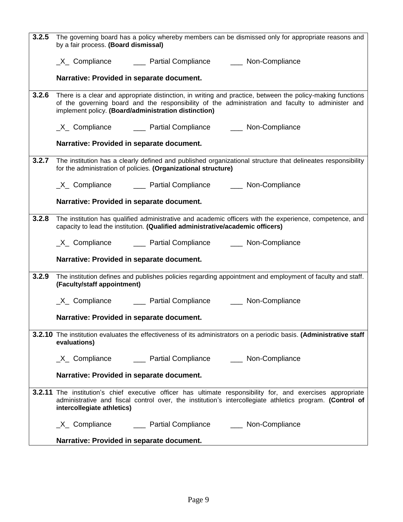| 3.2.5 | The governing board has a policy whereby members can be dismissed only for appropriate reasons and<br>by a fair process. (Board dismissal)                                                                                                                              |
|-------|-------------------------------------------------------------------------------------------------------------------------------------------------------------------------------------------------------------------------------------------------------------------------|
|       | _X_ Compliance _______ Partial Compliance _______ Non-Compliance                                                                                                                                                                                                        |
|       | Narrative: Provided in separate document.                                                                                                                                                                                                                               |
| 3.2.6 | There is a clear and appropriate distinction, in writing and practice, between the policy-making functions<br>of the governing board and the responsibility of the administration and faculty to administer and<br>implement policy. (Board/administration distinction) |
|       | _X_ Compliance _______ Partial Compliance _______ Non-Compliance                                                                                                                                                                                                        |
|       | Narrative: Provided in separate document.                                                                                                                                                                                                                               |
|       | 3.2.7 The institution has a clearly defined and published organizational structure that delineates responsibility<br>for the administration of policies. (Organizational structure)                                                                                     |
|       | _X_ Compliance _______ Partial Compliance _______ Non-Compliance                                                                                                                                                                                                        |
|       | Narrative: Provided in separate document.                                                                                                                                                                                                                               |
| 3.2.8 | The institution has qualified administrative and academic officers with the experience, competence, and<br>capacity to lead the institution. (Qualified administrative/academic officers)                                                                               |
|       | _X_ Compliance _______ Partial Compliance _______ Non-Compliance                                                                                                                                                                                                        |
|       | Narrative: Provided in separate document.                                                                                                                                                                                                                               |
| 3.2.9 | The institution defines and publishes policies regarding appointment and employment of faculty and staff.<br>(Faculty/staff appointment)                                                                                                                                |
|       | _X_ Compliance _______ Partial Compliance _______ Non-Compliance                                                                                                                                                                                                        |
|       | Narrative: Provided in separate document.                                                                                                                                                                                                                               |
|       | 3.2.10 The institution evaluates the effectiveness of its administrators on a periodic basis. (Administrative staff<br>evaluations)                                                                                                                                     |
|       | _X_ Compliance _______ Partial Compliance _______ Non-Compliance                                                                                                                                                                                                        |
|       | Narrative: Provided in separate document.                                                                                                                                                                                                                               |
|       | <b>3.2.11</b> The institution's chief executive officer has ultimate responsibility for, and exercises appropriate<br>administrative and fiscal control over, the institution's intercollegiate athletics program. (Control of<br>intercollegiate athletics)            |
|       | _X_ Compliance _______ Partial Compliance _______ Non-Compliance                                                                                                                                                                                                        |
|       | Narrative: Provided in separate document.                                                                                                                                                                                                                               |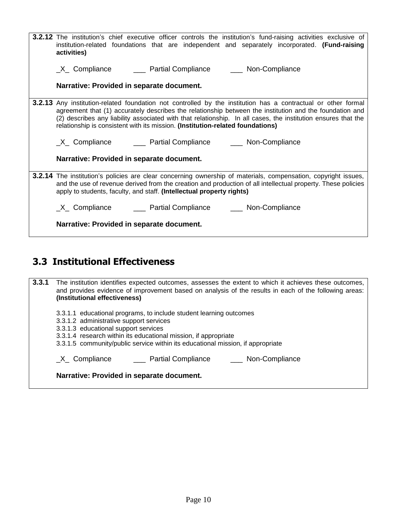| <b>3.2.12</b> The institution's chief executive officer controls the institution's fund-raising activities exclusive of<br>institution-related foundations that are independent and separately incorporated. (Fund-raising<br>activities)                                                                                                                                                                                          |
|------------------------------------------------------------------------------------------------------------------------------------------------------------------------------------------------------------------------------------------------------------------------------------------------------------------------------------------------------------------------------------------------------------------------------------|
| _X_ Compliance _______ Partial Compliance _______ Non-Compliance                                                                                                                                                                                                                                                                                                                                                                   |
| Narrative: Provided in separate document.                                                                                                                                                                                                                                                                                                                                                                                          |
| <b>3.2.13</b> Any institution-related foundation not controlled by the institution has a contractual or other formal<br>agreement that (1) accurately describes the relationship between the institution and the foundation and<br>(2) describes any liability associated with that relationship. In all cases, the institution ensures that the<br>relationship is consistent with its mission. (Institution-related foundations) |
| _X_ Compliance _______ Partial Compliance _______ Non-Compliance                                                                                                                                                                                                                                                                                                                                                                   |
| Narrative: Provided in separate document.                                                                                                                                                                                                                                                                                                                                                                                          |
| <b>3.2.14</b> The institution's policies are clear concerning ownership of materials, compensation, copyright issues,<br>and the use of revenue derived from the creation and production of all intellectual property. These policies<br>apply to students, faculty, and staff. (Intellectual property rights)                                                                                                                     |
| _X_ Compliance _______ Partial Compliance _______ Non-Compliance                                                                                                                                                                                                                                                                                                                                                                   |
| Narrative: Provided in separate document.                                                                                                                                                                                                                                                                                                                                                                                          |

#### **3.3 Institutional Effectiveness**

**3.3.1** The institution identifies expected outcomes, assesses the extent to which it achieves these outcomes, and provides evidence of improvement based on analysis of the results in each of the following areas: **(Institutional effectiveness)** 3.3.1.1 educational programs, to include student learning outcomes 3.3.1.2 administrative support services 3.3.1.3 educational support services 3.3.1.4 research within its educational mission, if appropriate 3.3.1.5 community/public service within its educational mission, if appropriate \_X\_ Compliance \_\_\_ Partial Compliance \_\_\_ Non-Compliance **Narrative: Provided in separate document.**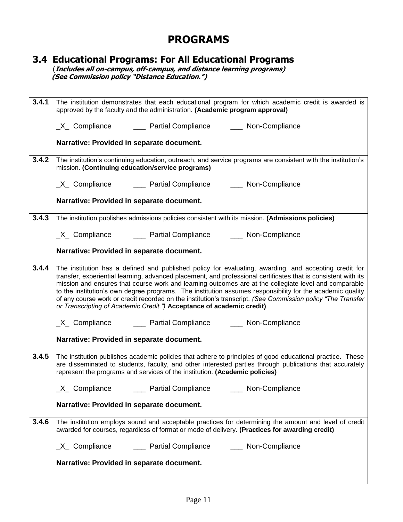### **PROGRAMS**

#### **3.4 Educational Programs: For All Educational Programs**

 (**Includes all on-campus, off-campus, and distance learning programs) (See Commission policy "Distance Education.")**

| 3.4.1 | The institution demonstrates that each educational program for which academic credit is awarded is<br>approved by the faculty and the administration. (Academic program approval)                                                                                                                                                                                                                                                                                                                                                                                                                                                     |
|-------|---------------------------------------------------------------------------------------------------------------------------------------------------------------------------------------------------------------------------------------------------------------------------------------------------------------------------------------------------------------------------------------------------------------------------------------------------------------------------------------------------------------------------------------------------------------------------------------------------------------------------------------|
|       |                                                                                                                                                                                                                                                                                                                                                                                                                                                                                                                                                                                                                                       |
|       | Narrative: Provided in separate document.                                                                                                                                                                                                                                                                                                                                                                                                                                                                                                                                                                                             |
|       | 3.4.2 The institution's continuing education, outreach, and service programs are consistent with the institution's<br>mission. (Continuing education/service programs)                                                                                                                                                                                                                                                                                                                                                                                                                                                                |
|       | _X_ Compliance _______ Partial Compliance _______ Non-Compliance                                                                                                                                                                                                                                                                                                                                                                                                                                                                                                                                                                      |
|       | Narrative: Provided in separate document.                                                                                                                                                                                                                                                                                                                                                                                                                                                                                                                                                                                             |
|       | 3.4.3 The institution publishes admissions policies consistent with its mission. (Admissions policies)                                                                                                                                                                                                                                                                                                                                                                                                                                                                                                                                |
|       | _X_ Compliance _______ Partial Compliance ______ Non-Compliance                                                                                                                                                                                                                                                                                                                                                                                                                                                                                                                                                                       |
|       | Narrative: Provided in separate document.                                                                                                                                                                                                                                                                                                                                                                                                                                                                                                                                                                                             |
| 3.4.4 | The institution has a defined and published policy for evaluating, awarding, and accepting credit for<br>transfer, experiential learning, advanced placement, and professional certificates that is consistent with its<br>mission and ensures that course work and learning outcomes are at the collegiate level and comparable<br>to the institution's own degree programs. The institution assumes responsibility for the academic quality<br>of any course work or credit recorded on the institution's transcript. (See Commission policy "The Transfer<br>or Transcripting of Academic Credit.") Acceptance of academic credit) |
|       | _X_ Compliance _______ Partial Compliance _______ Non-Compliance                                                                                                                                                                                                                                                                                                                                                                                                                                                                                                                                                                      |
|       | Narrative: Provided in separate document.                                                                                                                                                                                                                                                                                                                                                                                                                                                                                                                                                                                             |
| 3.4.5 | The institution publishes academic policies that adhere to principles of good educational practice. These<br>are disseminated to students, faculty, and other interested parties through publications that accurately<br>represent the programs and services of the institution. (Academic policies)                                                                                                                                                                                                                                                                                                                                  |
|       | X_ Compliance<br><b>Partial Compliance</b><br>Non-Compliance                                                                                                                                                                                                                                                                                                                                                                                                                                                                                                                                                                          |
|       | Narrative: Provided in separate document.                                                                                                                                                                                                                                                                                                                                                                                                                                                                                                                                                                                             |
| 3.4.6 | The institution employs sound and acceptable practices for determining the amount and level of credit<br>awarded for courses, regardless of format or mode of delivery. (Practices for awarding credit)                                                                                                                                                                                                                                                                                                                                                                                                                               |
|       |                                                                                                                                                                                                                                                                                                                                                                                                                                                                                                                                                                                                                                       |
|       | Narrative: Provided in separate document.                                                                                                                                                                                                                                                                                                                                                                                                                                                                                                                                                                                             |
|       |                                                                                                                                                                                                                                                                                                                                                                                                                                                                                                                                                                                                                                       |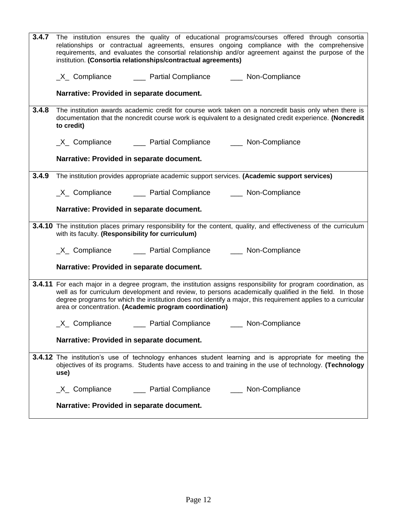| 3.4.7 | The institution ensures the quality of educational programs/courses offered through consortia                                                                                                                                    |
|-------|----------------------------------------------------------------------------------------------------------------------------------------------------------------------------------------------------------------------------------|
|       | relationships or contractual agreements, ensures ongoing compliance with the comprehensive                                                                                                                                       |
|       | requirements, and evaluates the consortial relationship and/or agreement against the purpose of the<br>institution. (Consortia relationships/contractual agreements)                                                             |
|       |                                                                                                                                                                                                                                  |
|       | _X_ Compliance _______ Partial Compliance _______ Non-Compliance                                                                                                                                                                 |
|       |                                                                                                                                                                                                                                  |
|       | Narrative: Provided in separate document.                                                                                                                                                                                        |
| 3.4.8 | The institution awards academic credit for course work taken on a noncredit basis only when there is                                                                                                                             |
|       | documentation that the noncredit course work is equivalent to a designated credit experience. (Noncredit                                                                                                                         |
|       | to credit)                                                                                                                                                                                                                       |
|       | _X_ Compliance _______ Partial Compliance _______ Non-Compliance                                                                                                                                                                 |
|       |                                                                                                                                                                                                                                  |
|       | Narrative: Provided in separate document.                                                                                                                                                                                        |
|       | 3.4.9 The institution provides appropriate academic support services. (Academic support services)                                                                                                                                |
|       |                                                                                                                                                                                                                                  |
|       | _X_ Compliance _______ Partial Compliance _______ Non-Compliance                                                                                                                                                                 |
|       | Narrative: Provided in separate document.                                                                                                                                                                                        |
|       |                                                                                                                                                                                                                                  |
|       | 3.4.10 The institution places primary responsibility for the content, quality, and effectiveness of the curriculum                                                                                                               |
|       | with its faculty. (Responsibility for curriculum)                                                                                                                                                                                |
|       | _X_ Compliance _______ Partial Compliance _______ Non-Compliance                                                                                                                                                                 |
|       |                                                                                                                                                                                                                                  |
|       | Narrative: Provided in separate document.                                                                                                                                                                                        |
|       |                                                                                                                                                                                                                                  |
|       | 3.4.11 For each major in a degree program, the institution assigns responsibility for program coordination, as<br>well as for curriculum development and review, to persons academically qualified in the field. In those        |
|       | degree programs for which the institution does not identify a major, this requirement applies to a curricular                                                                                                                    |
|       | area or concentration. (Academic program coordination)                                                                                                                                                                           |
|       | ___ Non-Compliance                                                                                                                                                                                                               |
|       | Narrative: Provided in separate document.                                                                                                                                                                                        |
|       |                                                                                                                                                                                                                                  |
|       | <b>3.4.12</b> The institution's use of technology enhances student learning and is appropriate for meeting the<br>objectives of its programs. Students have access to and training in the use of technology. (Technology<br>use) |
|       | _X_ Compliance _______ Partial Compliance _______ Non-Compliance                                                                                                                                                                 |
|       |                                                                                                                                                                                                                                  |
|       | Narrative: Provided in separate document.                                                                                                                                                                                        |
|       |                                                                                                                                                                                                                                  |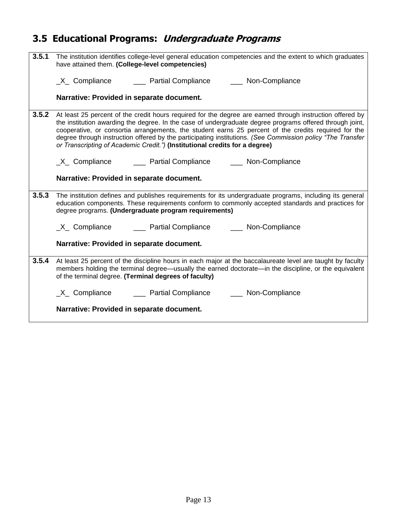# **3.5 Educational Programs: Undergraduate Programs**

| 3.5.1 | The institution identifies college-level general education competencies and the extent to which graduates<br>have attained them. (College-level competencies)                                                                                                                                                                                                                                                                                                                                                               |
|-------|-----------------------------------------------------------------------------------------------------------------------------------------------------------------------------------------------------------------------------------------------------------------------------------------------------------------------------------------------------------------------------------------------------------------------------------------------------------------------------------------------------------------------------|
|       | _X_ Compliance _______ Partial Compliance _______ Non-Compliance                                                                                                                                                                                                                                                                                                                                                                                                                                                            |
|       |                                                                                                                                                                                                                                                                                                                                                                                                                                                                                                                             |
|       | Narrative: Provided in separate document.                                                                                                                                                                                                                                                                                                                                                                                                                                                                                   |
| 3.5.2 | At least 25 percent of the credit hours required for the degree are earned through instruction offered by<br>the institution awarding the degree. In the case of undergraduate degree programs offered through joint,<br>cooperative, or consortia arrangements, the student earns 25 percent of the credits required for the<br>degree through instruction offered by the participating institutions. (See Commission policy "The Transfer"<br>or Transcripting of Academic Credit.") (Institutional credits for a degree) |
|       | _X_ Compliance _______ Partial Compliance _______ Non-Compliance                                                                                                                                                                                                                                                                                                                                                                                                                                                            |
|       | Narrative: Provided in separate document.                                                                                                                                                                                                                                                                                                                                                                                                                                                                                   |
| 3.5.3 | The institution defines and publishes requirements for its undergraduate programs, including its general<br>education components. These requirements conform to commonly accepted standards and practices for<br>degree programs. (Undergraduate program requirements)                                                                                                                                                                                                                                                      |
|       | _X_ Compliance _______ Partial Compliance _______ Non-Compliance                                                                                                                                                                                                                                                                                                                                                                                                                                                            |
|       | Narrative: Provided in separate document.                                                                                                                                                                                                                                                                                                                                                                                                                                                                                   |
| 3.5.4 | At least 25 percent of the discipline hours in each major at the baccalaureate level are taught by faculty<br>members holding the terminal degree—usually the earned doctorate—in the discipline, or the equivalent<br>of the terminal degree. (Terminal degrees of faculty)                                                                                                                                                                                                                                                |
|       | _X_ Compliance _______ Partial Compliance _______ Non-Compliance                                                                                                                                                                                                                                                                                                                                                                                                                                                            |
|       | Narrative: Provided in separate document.                                                                                                                                                                                                                                                                                                                                                                                                                                                                                   |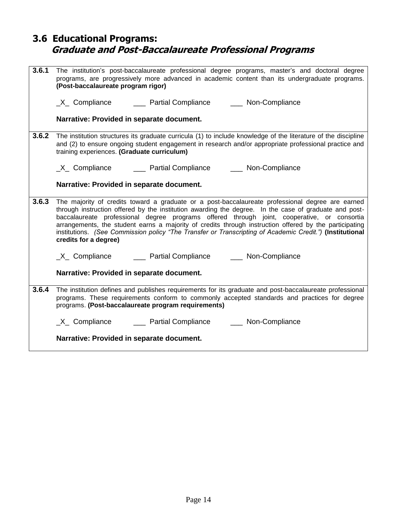#### **3.6 Educational Programs: Graduate and Post-Baccalaureate Professional Programs**

| 3.6.1 | The institution's post-baccalaureate professional degree programs, master's and doctoral degree<br>programs, are progressively more advanced in academic content than its undergraduate programs.<br>(Post-baccalaureate program rigor)                                                                                                                                                                                                                                                                                                                 |
|-------|---------------------------------------------------------------------------------------------------------------------------------------------------------------------------------------------------------------------------------------------------------------------------------------------------------------------------------------------------------------------------------------------------------------------------------------------------------------------------------------------------------------------------------------------------------|
|       | _X_ Compliance _______ Partial Compliance ______ Non-Compliance                                                                                                                                                                                                                                                                                                                                                                                                                                                                                         |
|       | Narrative: Provided in separate document.                                                                                                                                                                                                                                                                                                                                                                                                                                                                                                               |
| 3.6.2 | The institution structures its graduate curricula (1) to include knowledge of the literature of the discipline<br>and (2) to ensure ongoing student engagement in research and/or appropriate professional practice and<br>training experiences. (Graduate curriculum)                                                                                                                                                                                                                                                                                  |
|       | _X_ Compliance _______ Partial Compliance _______ Non-Compliance                                                                                                                                                                                                                                                                                                                                                                                                                                                                                        |
|       | Narrative: Provided in separate document.                                                                                                                                                                                                                                                                                                                                                                                                                                                                                                               |
| 3.6.3 | The majority of credits toward a graduate or a post-baccalaureate professional degree are earned<br>through instruction offered by the institution awarding the degree. In the case of graduate and post-<br>baccalaureate professional degree programs offered through joint, cooperative, or consortia<br>arrangements, the student earns a majority of credits through instruction offered by the participating<br>institutions. (See Commission policy "The Transfer or Transcripting of Academic Credit.") (Institutional<br>credits for a degree) |
|       | _X_ Compliance _______ Partial Compliance _______ Non-Compliance                                                                                                                                                                                                                                                                                                                                                                                                                                                                                        |
|       | Narrative: Provided in separate document.                                                                                                                                                                                                                                                                                                                                                                                                                                                                                                               |
| 3.6.4 | The institution defines and publishes requirements for its graduate and post-baccalaureate professional<br>programs. These requirements conform to commonly accepted standards and practices for degree<br>programs. (Post-baccalaureate program requirements)                                                                                                                                                                                                                                                                                          |
|       | _X_ Compliance _______ Partial Compliance ______ Non-Compliance                                                                                                                                                                                                                                                                                                                                                                                                                                                                                         |
|       | Narrative: Provided in separate document.                                                                                                                                                                                                                                                                                                                                                                                                                                                                                                               |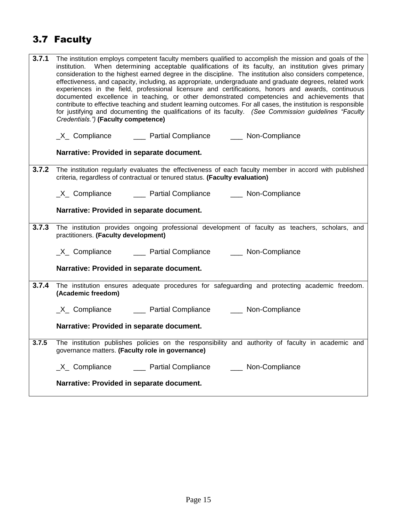# 3.7 Faculty

| 3.7.1 | The institution employs competent faculty members qualified to accomplish the mission and goals of the<br>institution. When determining acceptable qualifications of its faculty, an institution gives primary<br>consideration to the highest earned degree in the discipline. The institution also considers competence,<br>effectiveness, and capacity, including, as appropriate, undergraduate and graduate degrees, related work<br>experiences in the field, professional licensure and certifications, honors and awards, continuous<br>documented excellence in teaching, or other demonstrated competencies and achievements that<br>contribute to effective teaching and student learning outcomes. For all cases, the institution is responsible<br>for justifying and documenting the qualifications of its faculty. (See Commission guidelines "Faculty<br>Credentials.") (Faculty competence) |
|-------|--------------------------------------------------------------------------------------------------------------------------------------------------------------------------------------------------------------------------------------------------------------------------------------------------------------------------------------------------------------------------------------------------------------------------------------------------------------------------------------------------------------------------------------------------------------------------------------------------------------------------------------------------------------------------------------------------------------------------------------------------------------------------------------------------------------------------------------------------------------------------------------------------------------|
|       | _X_ Compliance _______ Partial Compliance _______ Non-Compliance                                                                                                                                                                                                                                                                                                                                                                                                                                                                                                                                                                                                                                                                                                                                                                                                                                             |
|       | Narrative: Provided in separate document.                                                                                                                                                                                                                                                                                                                                                                                                                                                                                                                                                                                                                                                                                                                                                                                                                                                                    |
| 3.7.2 | The institution regularly evaluates the effectiveness of each faculty member in accord with published<br>criteria, regardless of contractual or tenured status. (Faculty evaluation)                                                                                                                                                                                                                                                                                                                                                                                                                                                                                                                                                                                                                                                                                                                         |
|       | _X_ Compliance _______ Partial Compliance _______ Non-Compliance                                                                                                                                                                                                                                                                                                                                                                                                                                                                                                                                                                                                                                                                                                                                                                                                                                             |
|       | Narrative: Provided in separate document.                                                                                                                                                                                                                                                                                                                                                                                                                                                                                                                                                                                                                                                                                                                                                                                                                                                                    |
| 3.7.3 | The institution provides ongoing professional development of faculty as teachers, scholars, and<br>practitioners. (Faculty development)                                                                                                                                                                                                                                                                                                                                                                                                                                                                                                                                                                                                                                                                                                                                                                      |
|       | _X_ Compliance _______ Partial Compliance ______ Non-Compliance                                                                                                                                                                                                                                                                                                                                                                                                                                                                                                                                                                                                                                                                                                                                                                                                                                              |
|       | Narrative: Provided in separate document.                                                                                                                                                                                                                                                                                                                                                                                                                                                                                                                                                                                                                                                                                                                                                                                                                                                                    |
| 3.7.4 | The institution ensures adequate procedures for safeguarding and protecting academic freedom.<br>(Academic freedom)                                                                                                                                                                                                                                                                                                                                                                                                                                                                                                                                                                                                                                                                                                                                                                                          |
|       | _X_ Compliance _______ Partial Compliance ______ Non-Compliance                                                                                                                                                                                                                                                                                                                                                                                                                                                                                                                                                                                                                                                                                                                                                                                                                                              |
|       | Narrative: Provided in separate document.                                                                                                                                                                                                                                                                                                                                                                                                                                                                                                                                                                                                                                                                                                                                                                                                                                                                    |
| 3.7.5 | The institution publishes policies on the responsibility and authority of faculty in academic and<br>governance matters. (Faculty role in governance)                                                                                                                                                                                                                                                                                                                                                                                                                                                                                                                                                                                                                                                                                                                                                        |
|       | _X_ Compliance _______ Partial Compliance ______ Non-Compliance                                                                                                                                                                                                                                                                                                                                                                                                                                                                                                                                                                                                                                                                                                                                                                                                                                              |
|       | Narrative: Provided in separate document.                                                                                                                                                                                                                                                                                                                                                                                                                                                                                                                                                                                                                                                                                                                                                                                                                                                                    |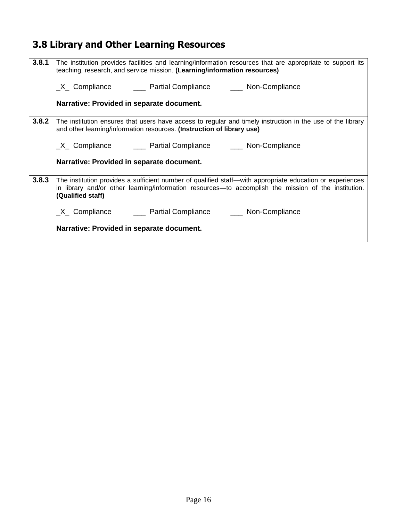# **3.8 Library and Other Learning Resources**

| 3.8.1 | The institution provides facilities and learning/information resources that are appropriate to support its<br>teaching, research, and service mission. (Learning/information resources)                                                |
|-------|----------------------------------------------------------------------------------------------------------------------------------------------------------------------------------------------------------------------------------------|
|       | _X_ Compliance _______ Partial Compliance _______ Non-Compliance                                                                                                                                                                       |
|       | Narrative: Provided in separate document.                                                                                                                                                                                              |
| 3.8.2 | The institution ensures that users have access to regular and timely instruction in the use of the library<br>and other learning/information resources. (Instruction of library use)                                                   |
|       | _X_ Compliance _______ Partial Compliance _______ Non-Compliance                                                                                                                                                                       |
|       | Narrative: Provided in separate document.                                                                                                                                                                                              |
| 3.8.3 | The institution provides a sufficient number of qualified staff—with appropriate education or experiences<br>in library and/or other learning/information resources—to accomplish the mission of the institution.<br>(Qualified staff) |
|       | _X_ Compliance _______ Partial Compliance _______ Non-Compliance                                                                                                                                                                       |
|       | Narrative: Provided in separate document.                                                                                                                                                                                              |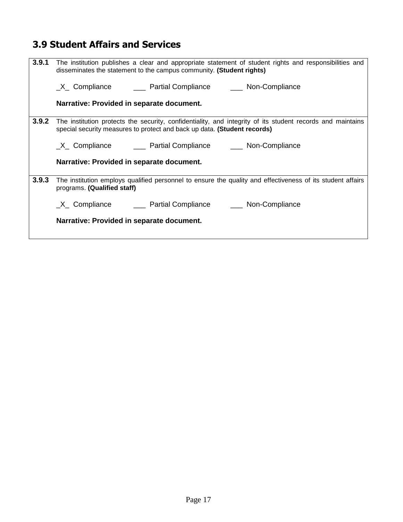### **3.9 Student Affairs and Services**

| 3.9.1 | The institution publishes a clear and appropriate statement of student rights and responsibilities and<br>disseminates the statement to the campus community. (Student rights)         |
|-------|----------------------------------------------------------------------------------------------------------------------------------------------------------------------------------------|
|       | _X_ Compliance _______ Partial Compliance _______ Non-Compliance                                                                                                                       |
|       | Narrative: Provided in separate document.                                                                                                                                              |
| 3.9.2 | The institution protects the security, confidentiality, and integrity of its student records and maintains<br>special security measures to protect and back up data. (Student records) |
|       |                                                                                                                                                                                        |
|       | Narrative: Provided in separate document.                                                                                                                                              |
| 3.9.3 | The institution employs qualified personnel to ensure the quality and effectiveness of its student affairs<br>programs. (Qualified staff)                                              |
|       |                                                                                                                                                                                        |
|       | Narrative: Provided in separate document.                                                                                                                                              |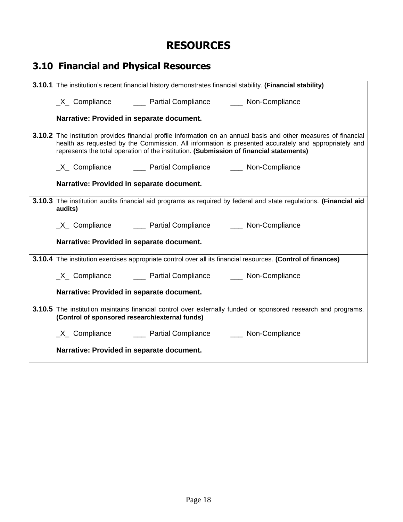## **RESOURCES**

| <b>3.10 Financial and Physical Resources</b>                                                                                                                                                                                                                                                                        |
|---------------------------------------------------------------------------------------------------------------------------------------------------------------------------------------------------------------------------------------------------------------------------------------------------------------------|
| 3.10.1 The institution's recent financial history demonstrates financial stability. (Financial stability)                                                                                                                                                                                                           |
| _X_ Compliance _______ Partial Compliance _______ Non-Compliance                                                                                                                                                                                                                                                    |
| Narrative: Provided in separate document.                                                                                                                                                                                                                                                                           |
| 3.10.2 The institution provides financial profile information on an annual basis and other measures of financial<br>health as requested by the Commission. All information is presented accurately and appropriately and<br>represents the total operation of the institution. (Submission of financial statements) |
| _X_ Compliance _______ Partial Compliance _______ Non-Compliance                                                                                                                                                                                                                                                    |
| Narrative: Provided in separate document.                                                                                                                                                                                                                                                                           |
| 3.10.3 The institution audits financial aid programs as required by federal and state regulations. (Financial aid<br>audits)                                                                                                                                                                                        |
| _X_ Compliance _______ Partial Compliance ______ Non-Compliance                                                                                                                                                                                                                                                     |
| Narrative: Provided in separate document.                                                                                                                                                                                                                                                                           |
| 3.10.4 The institution exercises appropriate control over all its financial resources. (Control of finances)                                                                                                                                                                                                        |
| _X_ Compliance _______ Partial Compliance _______ Non-Compliance                                                                                                                                                                                                                                                    |
| Narrative: Provided in separate document.                                                                                                                                                                                                                                                                           |
| 3.10.5 The institution maintains financial control over externally funded or sponsored research and programs.<br>(Control of sponsored research/external funds)                                                                                                                                                     |
| _X_ Compliance _______ Partial Compliance ______ Non-Compliance                                                                                                                                                                                                                                                     |
| Narrative: Provided in separate document.                                                                                                                                                                                                                                                                           |
|                                                                                                                                                                                                                                                                                                                     |

#### Page 18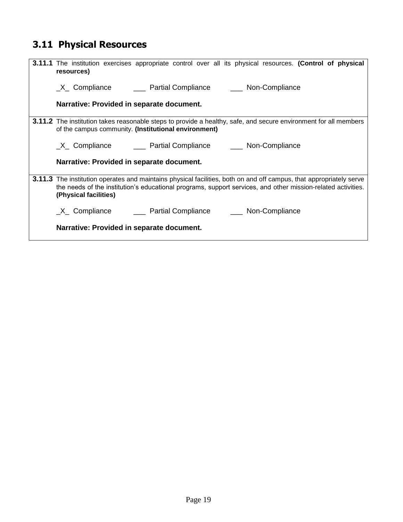# **3.11 Physical Resources**

| <b>3.11.1</b> The institution exercises appropriate control over all its physical resources. (Control of physical<br>resources)                                                                                                                              |
|--------------------------------------------------------------------------------------------------------------------------------------------------------------------------------------------------------------------------------------------------------------|
| _X_ Compliance _______ Partial Compliance _______ Non-Compliance                                                                                                                                                                                             |
| Narrative: Provided in separate document.                                                                                                                                                                                                                    |
| <b>3.11.2</b> The institution takes reasonable steps to provide a healthy, safe, and secure environment for all members<br>of the campus community. (Institutional environment)                                                                              |
| _X_ Compliance _______ Partial Compliance _______ Non-Compliance                                                                                                                                                                                             |
| Narrative: Provided in separate document.                                                                                                                                                                                                                    |
| 3.11.3 The institution operates and maintains physical facilities, both on and off campus, that appropriately serve<br>the needs of the institution's educational programs, support services, and other mission-related activities.<br>(Physical facilities) |
|                                                                                                                                                                                                                                                              |
| Narrative: Provided in separate document.                                                                                                                                                                                                                    |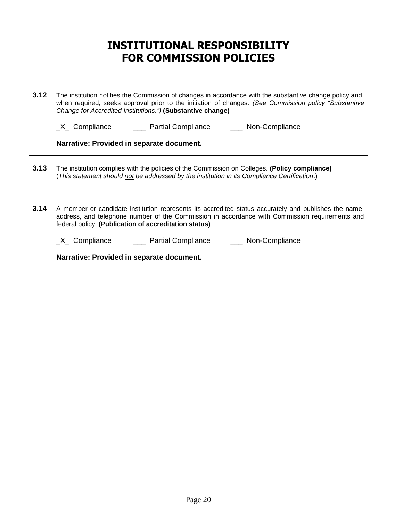## **INSTITUTIONAL RESPONSIBILITY FOR COMMISSION POLICIES**

| 3.12 | The institution notifies the Commission of changes in accordance with the substantive change policy and,<br>when required, seeks approval prior to the initiation of changes. (See Commission policy "Substantive"<br>Change for Accredited Institutions.") (Substantive change)<br>Narrative: Provided in separate document.                                                     |
|------|-----------------------------------------------------------------------------------------------------------------------------------------------------------------------------------------------------------------------------------------------------------------------------------------------------------------------------------------------------------------------------------|
| 3.13 | The institution complies with the policies of the Commission on Colleges. (Policy compliance)<br>(This statement should not be addressed by the institution in its Compliance Certification.)                                                                                                                                                                                     |
| 3.14 | A member or candidate institution represents its accredited status accurately and publishes the name,<br>address, and telephone number of the Commission in accordance with Commission requirements and<br>federal policy. (Publication of accreditation status)<br>_X_ Compliance    ____ Partial Compliance    ____ Non-Compliance<br>Narrative: Provided in separate document. |